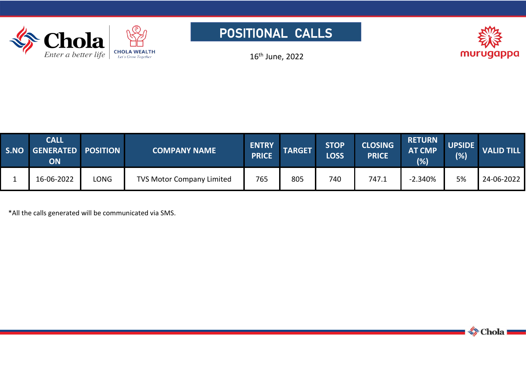





16 th June, 2022

| <b>S.NO</b> | <b>CALL</b><br>GENERATED POSITION<br><b>ON</b> |      | <b>COMPANY NAME</b>              | <b>ENTRY</b><br><b>PRICE</b> | <b>TARGET</b> | <b>STOP</b><br>LOSS | <b>CLOSING</b><br><b>PRICE</b> | <b>RETURN</b><br><b>AT CMP</b><br>(%) | <b>UPSIDE</b><br>(%) | <b>VALID TILL</b> |
|-------------|------------------------------------------------|------|----------------------------------|------------------------------|---------------|---------------------|--------------------------------|---------------------------------------|----------------------|-------------------|
|             | 16-06-2022                                     | LONG | <b>TVS Motor Company Limited</b> | 765                          | 805           | 740                 | 747.1                          | $-2.340%$                             | 5%                   | 24-06-2022        |

\*All the callsgenerated will be communicated via SMS.

Chola -